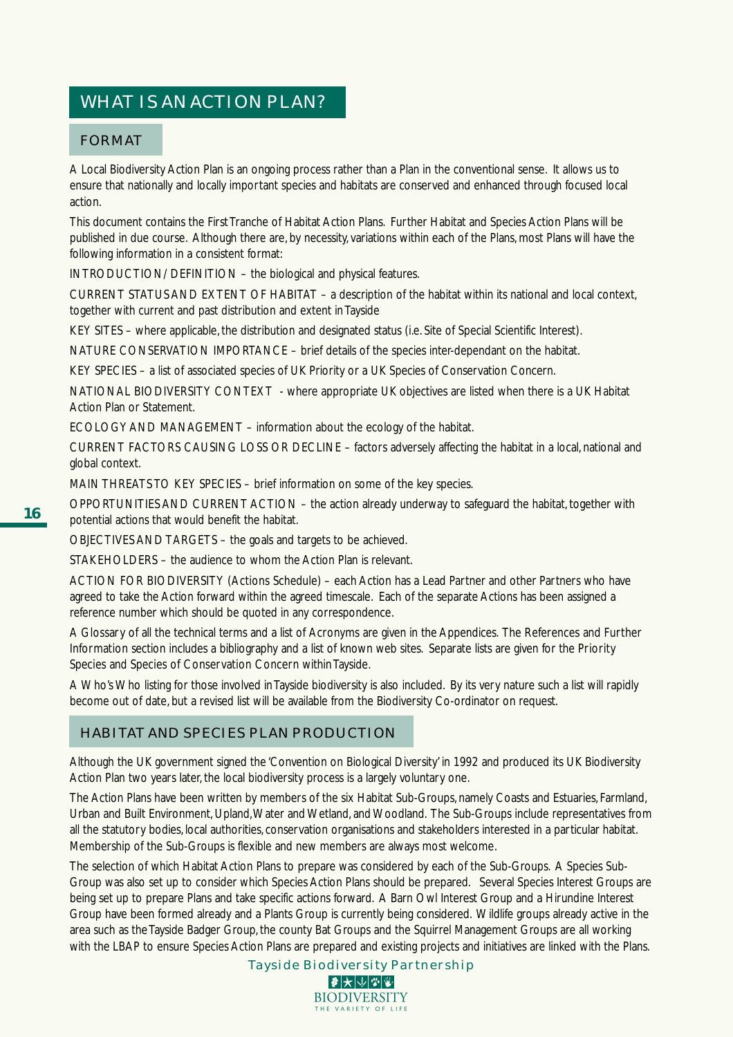# WHAT IS AN ACTION PLAN?

## FORMAT

A Local Biodiversity Action Plan is an ongoing process rather than a Plan in the conventional sense. It allows us to ensure that nationally and locally important species and habitats are conserved and enhanced through focused local action.

This document contains the First Tranche of Habitat Action Plans. Further Habitat and Species Action Plans will be published in due course. Although there are, by necessity, variations within each of the Plans, most Plans will have the following information in a consistent format:

INTRODUCTION/ DEFINITION – the biological and physical features.

CURRENT STATUS AND EXTENT OF HABITAT – a description of the habitat within its national and local context, together with current and past distribution and extent in Tayside

KEY SITES – where applicable, the distribution and designated status (i.e. Site of Special Scientific Interest).

NATURE CONSERVATION IMPORTANCE – brief details of the species inter-dependant on the habitat.

KEY SPECIES – a list of associated species of UK Priority or a UK Species of Conservation Concern.

NATIONAL BIODIVERSITY CONTEXT - where appropriate UK objectives are listed when there is a UK Habitat Action Plan or Statement.

ECOLOGY AND MANAGEMENT – information about the ecology of the habitat.

CURRENT FACTORS CAUSING LOSS OR DECLINE – factors adversely affecting the habitat in a local, national and global context.

MAIN THREATS TO KEY SPECIES - brief information on some of the key species.

OPPORTUNITIES AND CURRENT ACTION – the action already underway to safeguard the habitat, together with potential actions that would benefit the habitat.

OBJECTIVES AND TARGETS – the goals and targets to be achieved.

STAKEHOLDERS – the audience to whom the Action Plan is relevant.

ACTION FOR BIODIVERSITY (Actions Schedule) – each Action has a Lead Partner and other Partners who have agreed to take the Action forward within the agreed timescale. Each of the separate Actions has been assigned a reference number which should be quoted in any correspondence.

A Glossary of all the technical terms and a list of Acronyms are given in the Appendices. The References and Further Information section includes a bibliography and a list of known web sites. Separate lists are given for the Priority Species and Species of Conservation Concern within Tayside.

A Who's Who listing for those involved in Tayside biodiversity is also included. By its very nature such a list will rapidly become out of date, but a revised list will be available from the Biodiversity Co-ordinator on request.

## HABITAT AND SPECIES PLAN PRODUCTION

Although the UK government signed the 'Convention on Biological Diversity' in 1992 and produced its UK Biodiversity Action Plan two years later, the local biodiversity process is a largely voluntary one.

The Action Plans have been written by members of the six Habitat Sub-Groups, namely Coasts and Estuaries, Farmland, Urban and Built Environment, Upland, Water and Wetland, and Woodland. The Sub-Groups include representatives from all the statutory bodies, local authorities, conservation organisations and stakeholders interested in a particular habitat. Membership of the Sub-Groups is flexible and new members are always most welcome.

The selection of which Habitat Action Plans to prepare was considered by each of the Sub-Groups. A Species Sub-Group was also set up to consider which Species Action Plans should be prepared. Several Species Interest Groups are being set up to prepare Plans and take specific actions forward. A Barn Owl Interest Group and a Hirundine Interest Group have been formed already and a Plants Group is currently being considered. Wildlife groups already active in the area such as the Tayside Badger Group, the county Bat Groups and the Squirrel Management Groups are all working with the LBAP to ensure Species Action Plans are prepared and existing projects and initiatives are linked with the Plans.

> Tayside Biodiversity Partnership |₽ ★ ↓ ↓ ↓ ↓ ↓ **BIODIVERSITY**

> > THE VARIETY OF LIFE